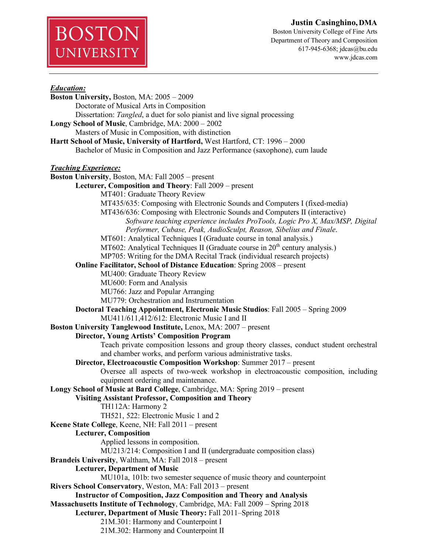*Education:* **Boston University,** Boston, MA: 2005 – 2009 Doctorate of Musical Arts in Composition Dissertation: *Tangled*, a duet for solo pianist and live signal processing **Longy School of Music**, Cambridge, MA: 2000 – 2002 Masters of Music in Composition, with distinction **Hartt School of Music, University of Hartford,** West Hartford, CT: 1996 – 2000 Bachelor of Music in Composition and Jazz Performance (saxophone), cum laude *Teaching Experience:* **Boston University**, Boston, MA: Fall 2005 – present **Lecturer, Composition and Theory**: Fall 2009 – present MT401: Graduate Theory Review MT435/635: Composing with Electronic Sounds and Computers I (fixed-media) MT436/636: Composing with Electronic Sounds and Computers II (interactive) *Software teaching experience includes ProTools, Logic Pro X, Max/MSP, Digital Performer, Cubase, Peak, AudioSculpt, Reason, Sibelius and Finale*. MT601: Analytical Techniques I (Graduate course in tonal analysis.) MT602: Analytical Techniques II (Graduate course in  $20<sup>th</sup>$  century analysis.) MP705: Writing for the DMA Recital Track (individual research projects) **Online Facilitator, School of Distance Education**: Spring 2008 – present MU400: Graduate Theory Review MU600: Form and Analysis MU766: Jazz and Popular Arranging MU779: Orchestration and Instrumentation **Doctoral Teaching Appointment, Electronic Music Studios**: Fall 2005 – Spring 2009 MU411/611,412/612: Electronic Music I and II **Boston University Tanglewood Institute,** Lenox, MA: 2007 – present **Director, Young Artists' Composition Program** Teach private composition lessons and group theory classes, conduct student orchestral and chamber works, and perform various administrative tasks. **Director, Electroacoustic Composition Workshop**: Summer 2017 – present Oversee all aspects of two-week workshop in electroacoustic composition, including equipment ordering and maintenance. **Longy School of Music at Bard College**, Cambridge, MA: Spring 2019 – present **Visiting Assistant Professor, Composition and Theory** TH112A: Harmony 2 TH521, 522: Electronic Music 1 and 2 **Keene State College**, Keene, NH: Fall 2011 – present **Lecturer, Composition** Applied lessons in composition. MU213/214: Composition I and II (undergraduate composition class) **Brandeis University**, Waltham, MA: Fall 2018 – present **Lecturer, Department of Music** MU101a, 101b: two semester sequence of music theory and counterpoint **Rivers School Conservatory**, Weston, MA: Fall 2013 – present **Instructor of Composition, Jazz Composition and Theory and Analysis Massachusetts Institute of Technology**, Cambridge, MA: Fall 2009 – Spring 2018 **Lecturer, Department of Music Theory:** Fall 2011–Spring 2018 21M.301: Harmony and Counterpoint I 21M.302: Harmony and Counterpoint II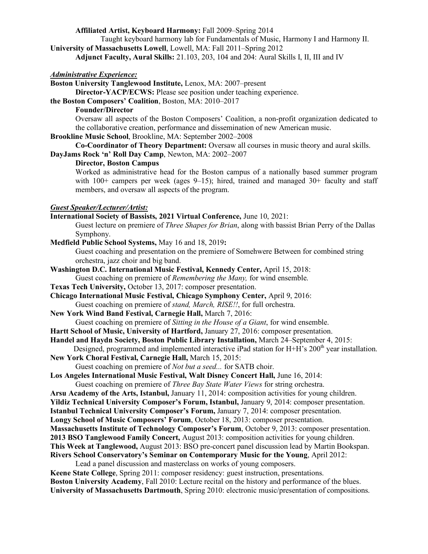#### **Affiliated Artist, Keyboard Harmony:** Fall 2009–Spring 2014

Taught keyboard harmony lab for Fundamentals of Music, Harmony I and Harmony II. **University of Massachusetts Lowell**, Lowell, MA: Fall 2011–Spring 2012

**Adjunct Faculty, Aural Skills:** 21.103, 203, 104 and 204: Aural Skills I, II, III and IV

#### *Administrative Experience:*

**Boston University Tanglewood Institute,** Lenox, MA: 2007–present

**Director-YACP/ECWS:** Please see position under teaching experience.

**the Boston Composers' Coalition**, Boston, MA: 2010–2017

**Founder/Director**

Oversaw all aspects of the Boston Composers' Coalition, a non-profit organization dedicated to the collaborative creation, performance and dissemination of new American music.

**Brookline Music School**, Brookline, MA: September 2002–2008

**Co-Coordinator of Theory Department:** Oversaw all courses in music theory and aural skills.

**DayJams Rock 'n' Roll Day Camp**, Newton, MA: 2002–2007

#### **Director, Boston Campus**

Worked as administrative head for the Boston campus of a nationally based summer program with  $100+$  campers per week (ages  $9-15$ ); hired, trained and managed  $30+$  faculty and staff members, and oversaw all aspects of the program.

## *Guest Speaker/Lecturer/Artist:*

**International Society of Bassists, 2021 Virtual Conference,** June 10, 2021:

Guest lecture on premiere of *Three Shapes for Brian*, along with bassist Brian Perry of the Dallas Symphony.

**Medfield Public School Systems,** May 16 and 18, 2019**:** 

Guest coaching and presentation on the premiere of Somehwere Between for combined string orchestra, jazz choir and big band.

**Washington D.C. International Music Festival, Kennedy Center,** April 15, 2018:

Guest coaching on premiere of *Remembering the Many,* for wind ensemble.

**Texas Tech University,** October 13, 2017: composer presentation.

**Chicago International Music Festival, Chicago Symphony Center,** April 9, 2016: Guest coaching on premiere of *stand, March, RISE!!*, for full orchestra.

**New York Wind Band Festival, Carnegie Hall,** March 7, 2016:

Guest coaching on premiere of *Sitting in the House of a Giant*, for wind ensemble.

**Hartt School of Music, University of Hartford,** January 27, 2016: composer presentation.

**Handel and Haydn Society, Boston Public Library Installation,** March 24–September 4, 2015:

Designed, programmed and implemented interactive iPad station for  $H + H$ 's 200<sup>th</sup> year installation. **New York Choral Festival, Carnegie Hall,** March 15, 2015:

Guest coaching on premiere of *Not but a seed...* for SATB choir.

**Los Angeles International Music Festival, Walt Disney Concert Hall,** June 16, 2014:

Guest coaching on premiere of *Three Bay State Water Views* for string orchestra.

**Arsu Academy of the Arts, Istanbul,** January 11, 2014: composition activities for young children.

**Yildiz Technical University Composer's Forum, Istanbul,** January 9, 2014: composer presentation.

**Istanbul Technical University Composer's Forum,** January 7, 2014: composer presentation.

**Longy School of Music Composers' Forum**, October 18, 2013: composer presentation.

**Massachusetts Institute of Technology Composer's Forum**, October 9, 2013: composer presentation.

**2013 BSO Tanglewood Family Concert,** August 2013: composition activities for young children.

**This Week at Tanglewood,** August 2013: BSO pre-concert panel discussion lead by Martin Bookspan.

**Rivers School Conservatory's Seminar on Contemporary Music for the Young**, April 2012:

Lead a panel discussion and masterclass on works of young composers.

**Keene State College**, Spring 2011: composer residency: guest instruction, presentations. **Boston University Academy**, Fall 2010: Lecture recital on the history and performance of the blues.

**University of Massachusetts Dartmouth**, Spring 2010: electronic music/presentation of compositions.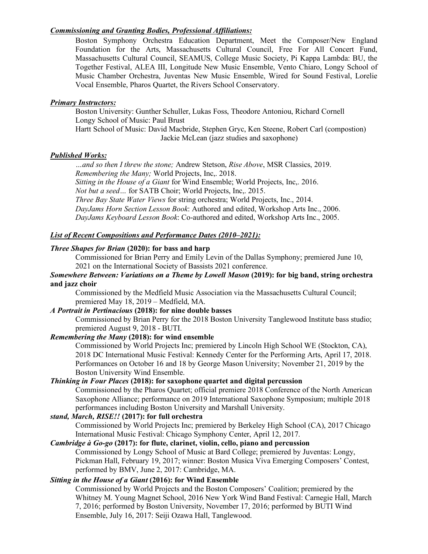# *Commissioning and Granting Bodies, Professional Affiliations:*

Boston Symphony Orchestra Education Department, Meet the Composer/New England Foundation for the Arts, Massachusetts Cultural Council, Free For All Concert Fund, Massachusetts Cultural Council, SEAMUS, College Music Society, Pi Kappa Lambda: BU, the Together Festival, ALEA III, Longitude New Music Ensemble, Vento Chiaro, Longy School of Music Chamber Orchestra, Juventas New Music Ensemble, Wired for Sound Festival, Lorelie Vocal Ensemble, Pharos Quartet, the Rivers School Conservatory.

## *Primary Instructors:*

Boston University: Gunther Schuller, Lukas Foss, Theodore Antoniou, Richard Cornell Longy School of Music: Paul Brust Hartt School of Music: David Macbride, Stephen Gryc, Ken Steene, Robert Carl (compostion) Jackie McLean (jazz studies and saxophone)

## *Published Works:*

*…and so then I threw the stone;* Andrew Stetson, *Rise Above*, MSR Classics, 2019. *Remembering the Many;* World Projects, Inc,. 2018. *Sitting in the House of a Giant* for Wind Ensemble; World Projects, Inc,. 2016. *Not but a seed…* for SATB Choir; World Projects, Inc,. 2015. *Three Bay State Water Views* for string orchestra; World Projects, Inc., 2014. *DayJams Horn Section Lesson Book*: Authored and edited, Workshop Arts Inc., 2006. *DayJams Keyboard Lesson Book*: Co-authored and edited, Workshop Arts Inc., 2005.

# *List of Recent Compositions and Performance Dates (2010–2021):*

## *Three Shapes for Brian* **(2020): for bass and harp**

Commissioned for Brian Perry and Emily Levin of the Dallas Symphony; premiered June 10, 2021 on the International Society of Bassists 2021 conference.

#### *Somewhere Between: Variations on a Theme by Lowell Mason* **(2019): for big band, string orchestra and jazz choir**

Commissioned by the Medfield Music Association via the Massachusetts Cultural Council; premiered May 18, 2019 – Medfield, MA.

#### *A Portrait in Pertinacious* **(2018): for nine double basses**

Commissioned by Brian Perry for the 2018 Boston University Tanglewood Institute bass studio; premiered August 9, 2018 - BUTI.

#### *Remembering the Many* **(2018): for wind ensemble**

Commissioned by World Projects Inc; premiered by Lincoln High School WE (Stockton, CA), 2018 DC International Music Festival: Kennedy Center for the Performing Arts, April 17, 2018. Performances on October 16 and 18 by George Mason University; November 21, 2019 by the Boston University Wind Ensemble.

## *Thinking in Four Places* **(2018): for saxophone quartet and digital percussion**

Commissioned by the Pharos Quartet; official premiere 2018 Conference of the North American Saxophone Alliance; performance on 2019 International Saxophone Symposium; multiple 2018 performances including Boston University and Marshall University.

# *stand, March, RISE!!* **(2017): for full orchestra**

Commissioned by World Projects Inc; premiered by Berkeley High School (CA), 2017 Chicago International Music Festival: Chicago Symphony Center, April 12, 2017.

#### *Cambridge à Go-go* **(2017): for flute, clarinet, violin, cello, piano and percussion**

Commissioned by Longy School of Music at Bard College; premiered by Juventas: Longy, Pickman Hall, February 19, 2017; winner: Boston Musica Viva Emerging Composers' Contest, performed by BMV, June 2, 2017: Cambridge, MA.

## *Sitting in the House of a Giant* **(2016): for Wind Ensemble**

Commissioned by World Projects and the Boston Composers' Coalition; premiered by the Whitney M. Young Magnet School, 2016 New York Wind Band Festival: Carnegie Hall, March 7, 2016; performed by Boston University, November 17, 2016; performed by BUTI Wind Ensemble, July 16, 2017: Seiji Ozawa Hall, Tanglewood.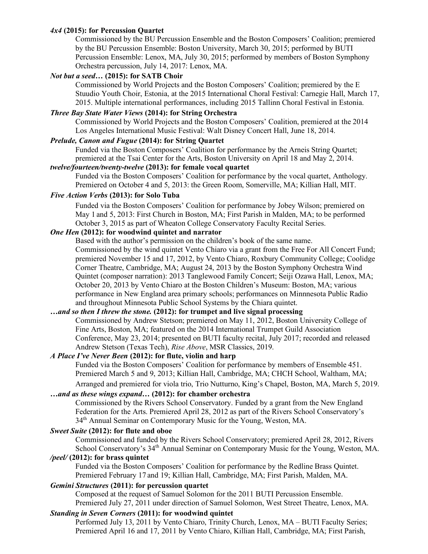## *4x4* **(2015): for Percussion Quartet**

Commissioned by the BU Percussion Ensemble and the Boston Composers' Coalition; premiered by the BU Percussion Ensemble: Boston University, March 30, 2015; performed by BUTI Percussion Ensemble: Lenox, MA, July 30, 2015; performed by members of Boston Symphony Orchestra percussion, July 14, 2017: Lenox, MA.

## *Not but a seed…* **(2015): for SATB Choir**

Commissioned by World Projects and the Boston Composers' Coalition; premiered by the E Stuudio Youth Choir, Estonia, at the 2015 International Choral Festival: Carnegie Hall, March 17, 2015. Multiple international performances, including 2015 Tallinn Choral Festival in Estonia.

# *Three Bay State Water Views* **(2014): for String Orchestra**

Commissioned by World Projects and the Boston Composers' Coalition, premiered at the 2014 Los Angeles International Music Festival: Walt Disney Concert Hall, June 18, 2014.

## *Prelude, Canon and Fugue* **(2014): for String Quartet**

Funded via the Boston Composers' Coalition for performance by the Arneis String Quartet; premiered at the Tsai Center for the Arts, Boston University on April 18 and May 2, 2014.

# *twelve/fourteen/twenty-twelve* **(2013): for female vocal quartet**

Funded via the Boston Composers' Coalition for performance by the vocal quartet, Anthology. Premiered on October 4 and 5, 2013: the Green Room, Somerville, MA; Killian Hall, MIT.

## *Five Action Verbs* **(2013): for Solo Tuba**

Funded via the Boston Composers' Coalition for performance by Jobey Wilson; premiered on May 1 and 5, 2013: First Church in Boston, MA; First Parish in Malden, MA; to be performed October 3, 2015 as part of Wheaton College Conservatory Faculty Recital Series.

# *One Hen* **(2012): for woodwind quintet and narrator**

Based with the author's permission on the children's book of the same name. Commissioned by the wind quintet Vento Chiaro via a grant from the Free For All Concert Fund; premiered November 15 and 17, 2012, by Vento Chiaro, Roxbury Community College; Coolidge Corner Theatre, Cambridge, MA; August 24, 2013 by the Boston Symphony Orchestra Wind Quintet (composer narration): 2013 Tanglewood Family Concert; Seiji Ozawa Hall, Lenox, MA; October 20, 2013 by Vento Chiaro at the Boston Children's Museum: Boston, MA; various performance in New England area primary schools; performances on Minnnesota Public Radio and throughout Minnesota Public School Systems by the Chiara quintet.

# *…and so then I threw the stone.* **(2012): for trumpet and live signal processing**

Commissioned by Andrew Stetson; premiered on May 11, 2012, Boston University College of Fine Arts, Boston, MA; featured on the 2014 International Trumpet Guild Association Conference, May 23, 2014; presented on BUTI faculty recital, July 2017; recorded and released Andrew Stetson (Texas Tech), *Rise Above*, MSR Classics, 2019.

# *A Place I've Never Been* **(2012): for flute, violin and harp**

Funded via the Boston Composers' Coalition for performance by members of Ensemble 451. Premiered March 5 and 9, 2013; Killian Hall, Cambridge, MA; CHCH School, Waltham, MA; Arranged and premiered for viola trio, Trio Nutturno, King's Chapel, Boston, MA, March 5, 2019.

## *…and as these wings expand…* **(2012): for chamber orchestra**

Commissioned by the Rivers School Conservatory. Funded by a grant from the New England Federation for the Arts. Premiered April 28, 2012 as part of the Rivers School Conservatory's 34th Annual Seminar on Contemporary Music for the Young, Weston, MA.

#### *Sweet Suite* **(2012): for flute and oboe**

Commissioned and funded by the Rivers School Conservatory; premiered April 28, 2012, Rivers School Conservatory's 34<sup>th</sup> Annual Seminar on Contemporary Music for the Young, Weston, MA.

## */peel/* **(2012): for brass quintet**

Funded via the Boston Composers' Coalition for performance by the Redline Brass Quintet. Premiered February 17 and 19; Killian Hall, Cambridge, MA; First Parish, Malden, MA.

#### *Gemini Structures* **(2011): for percussion quartet**

Composed at the request of Samuel Solomon for the 2011 BUTI Percussion Ensemble. Premiered July 27, 2011 under direction of Samuel Solomon, West Street Theatre, Lenox, MA.

## *Standing in Seven Corners* **(2011): for woodwind quintet**

Performed July 13, 2011 by Vento Chiaro, Trinity Church, Lenox, MA – BUTI Faculty Series; Premiered April 16 and 17, 2011 by Vento Chiaro, Killian Hall, Cambridge, MA; First Parish,